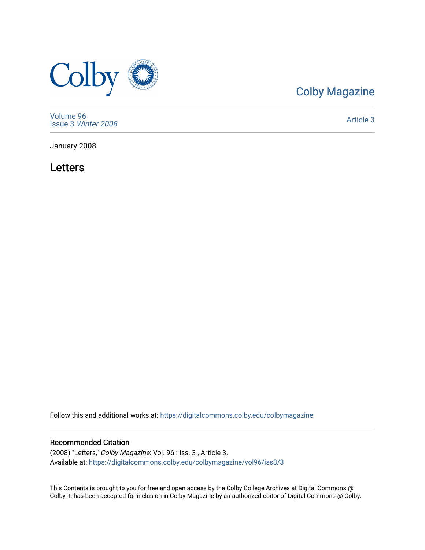

# [Colby Magazine](https://digitalcommons.colby.edu/colbymagazine)

[Volume 96](https://digitalcommons.colby.edu/colbymagazine/vol96) Issue 3 [Winter 2008](https://digitalcommons.colby.edu/colbymagazine/vol96/iss3) 

[Article 3](https://digitalcommons.colby.edu/colbymagazine/vol96/iss3/3) 

January 2008

Letters

Follow this and additional works at: [https://digitalcommons.colby.edu/colbymagazine](https://digitalcommons.colby.edu/colbymagazine?utm_source=digitalcommons.colby.edu%2Fcolbymagazine%2Fvol96%2Fiss3%2F3&utm_medium=PDF&utm_campaign=PDFCoverPages)

## Recommended Citation

(2008) "Letters," Colby Magazine: Vol. 96 : Iss. 3 , Article 3. Available at: [https://digitalcommons.colby.edu/colbymagazine/vol96/iss3/3](https://digitalcommons.colby.edu/colbymagazine/vol96/iss3/3?utm_source=digitalcommons.colby.edu%2Fcolbymagazine%2Fvol96%2Fiss3%2F3&utm_medium=PDF&utm_campaign=PDFCoverPages)

This Contents is brought to you for free and open access by the Colby College Archives at Digital Commons @ Colby. It has been accepted for inclusion in Colby Magazine by an authorized editor of Digital Commons @ Colby.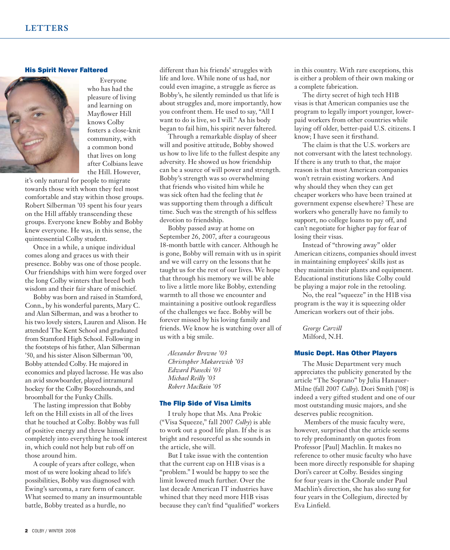## His Spirit Never Faltered



 Everyone who has had the pleasure of living and learning on Mayflower Hill knows Colby fosters a close-knit community, with a common bond that lives on long after Colbians leave the Hill. However,

it's only natural for people to migrate towards those with whom they feel most comfortable and stay within those groups. Robert Silberman '03 spent his four years on the Hill affably transcending these groups. Everyone knew Bobby and Bobby knew everyone. He was, in this sense, the quintessential Colby student.

 Once in a while, a unique individual comes along and graces us with their presence. Bobby was one of those people. Our friendships with him were forged over the long Colby winters that breed both wisdom and their fair share of mischief.

 Bobby was born and raised in Stamford, Conn., by his wonderful parents, Mary C. and Alan Silberman, and was a brother to his two lovely sisters, Lauren and Alison. He attended The Kent School and graduated from Stamford High School. Following in the footsteps of his father, Alan Silberman '50, and his sister Alison Silberman '00, Bobby attended Colby. He majored in economics and played lacrosse. He was also an avid snowboarder, played intramural hockey for the Colby Boozehounds, and broomball for the Funky Chills.

 The lasting impression that Bobby left on the Hill exists in all of the lives that he touched at Colby. Bobby was full of positive energy and threw himself completely into everything he took interest in, which could not help but rub off on those around him.

 A couple of years after college, when most of us were looking ahead to life's possibilities, Bobby was diagnosed with Ewing's sarcoma, a rare form of cancer. What seemed to many an insurmountable battle, Bobby treated as a hurdle, no

different than his friends' struggles with life and love. While none of us had, nor could even imagine, a struggle as fierce as Bobby's, he silently reminded us that life is about struggles and, more importantly, how you confront them. He used to say, "All I want to do is live, so I will." As his body began to fail him, his spirit never faltered.

 Through a remarkable display of sheer will and positive attitude, Bobby showed us how to live life to the fullest despite any adversity. He showed us how friendship can be a source of will power and strength. Bobby's strength was so overwhelming that friends who visited him while he was sick often had the feeling that *he* was supporting them through a difficult time. Such was the strength of his selfless devotion to friendship.

 Bobby passed away at home on September 26, 2007, after a courageous 18-month battle with cancer. Although he is gone, Bobby will remain with us in spirit and we will carry on the lessons that he taught us for the rest of our lives. We hope that through his memory we will be able to live a little more like Bobby, extending warmth to all those we encounter and maintaining a positive outlook regardless of the challenges we face. Bobby will be forever missed by his loving family and friends. We know he is watching over all of us with a big smile.

*Alexander Browne '03 Christopher Makarewich '03 Edward Piasecki '03 Michael Reilly '03 Robert MacBain '05*

#### The Flip Side of Visa Limits

 I truly hope that Ms. Ana Prokic ("Visa Squeeze," fall 2007 *Colby*) is able to work out a good life plan. If she is as bright and resourceful as she sounds in the article, she will.

 But I take issue with the contention that the current cap on H1B visas is a "problem." I would be happy to see the limit lowered much further. Over the last decade American IT industries have whined that they need more H1B visas because they can't find "qualified" workers in this country. With rare exceptions, this is either a problem of their own making or a complete fabrication.

 The dirty secret of high tech H1B visas is that American companies use the program to legally import younger, lowerpaid workers from other countries while laying off older, better-paid U.S. citizens. I know; I have seen it firsthand.

 The claim is that the U.S. workers are not conversant with the latest technology. If there is any truth to that, the major reason is that most American companies won't retrain existing workers. And why should they when they can get cheaper workers who have been trained at government expense elsewhere? These are workers who generally have no family to support, no college loans to pay off, and can't negotiate for higher pay for fear of losing their visas.

 Instead of "throwing away" older American citizens, companies should invest in maintaining employees' skills just as they maintain their plants and equipment. Educational institutions like Colby could be playing a major role in the retooling.

 No, the real "squeeze" in the H1B visa program is the way it is squeezing older American workers out of their jobs.

 *George Carvill* Milford, N.H.

#### Music Dept. Has Other Players

 The Music Department very much appreciates the publicity generated by the article "The Soprano" by Julia Hanauer-Milne (fall 2007 *Colby*). Dori Smith ['08] is indeed a very gifted student and one of our most outstanding music majors, and she deserves public recognition.

 Members of the music faculty were, however, surprised that the article seems to rely predominantly on quotes from Professor [Paul] Machlin. It makes no reference to other music faculty who have been more directly responsible for shaping Dori's career at Colby. Besides singing for four years in the Chorale under Paul Machlin's direction, she has also sung for four years in the Collegium, directed by Eva Linfield.